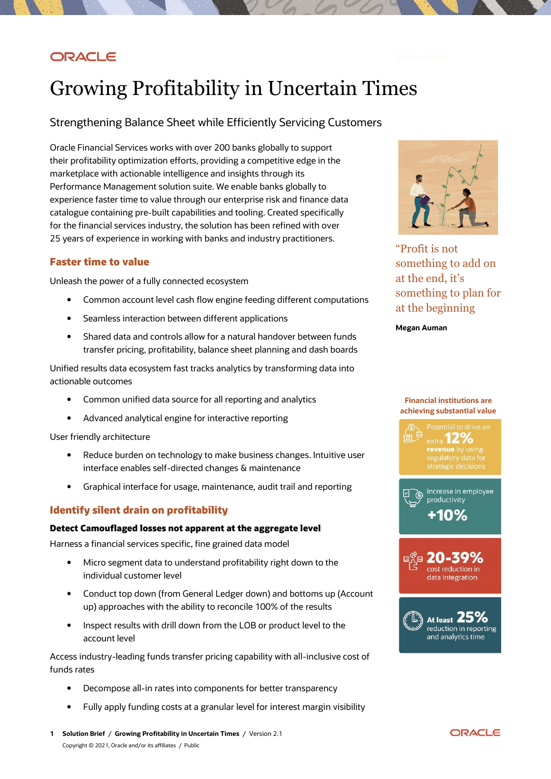# ORACLE

# Growing Profitability in Uncertain Times

# Strengthening Balance Sheet while Efficiently Servicing Customers

Oracle Financial Services works with over 200 banks globally to support their profitability optimization efforts, providing a competitive edge in the marketplace with actionable intelligence and insights through its Performance Management solution suite. We enable banks globally to experience faster time to value through our enterprise risk and finance data catalogue containing pre-built capabilities and tooling. Created specifically for the financial services industry, the solution has been refined with over 25 years of experience in working with banks and industry practitioners.

## **Faster time to value**

Unleash the power of a fully connected ecosystem

- Common account level cash flow engine feeding different computations
- Seamless interaction between different applications
- Shared data and controls allow for a natural handover between funds transfer pricing, profitability, balance sheet planning and dash boards

Unified results data ecosystem fast tracks analytics by transforming data into actionable outcomes

- Common unified data source for all reporting and analytics
- Advanced analytical engine for interactive reporting

User friendly architecture

- Reduce burden on technology to make business changes. Intuitive user interface enables self-directed changes & maintenance
- Graphical interface for usage, maintenance, audit trail and reporting

## **Identify silent drain on profitability**

### **Detect Camouflaged losses not apparent at the aggregate level**

Harness a financial services specific, fine grained data model

- Micro segment data to understand profitability right down to the individual customer level
- Conduct top down (from General Ledger down) and bottoms up (Account up) approaches with the ability to reconcile 100% of the results
- Inspect results with drill down from the LOB or product level to the account level

Access industry-leading funds transfer pricing capability with all-inclusive cost of funds rates

- Decompose all-in rates into components for better transparency
- Fully apply funding costs at a granular level for interest margin visibility



"Profit is not something to add on at the end, it's something to plan for at the beginning

**Megan Auman**

# **achieving substantial value**extra **12%** revenue by using<br>regulatory data for<br>strategic decisions

**Financial institutions are** 







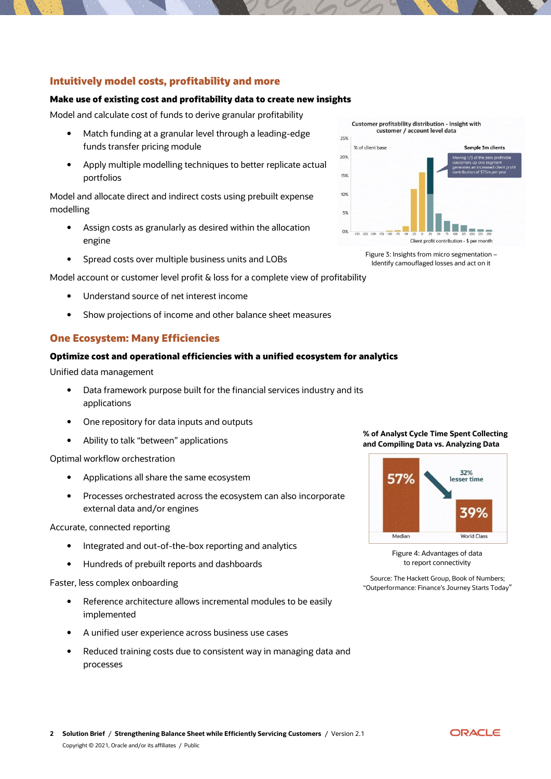# **Intuitively model costs, profitability and more**

### **Make use of existing cost and profitability data to create new insights**

Model and calculate cost of funds to derive granular profitability

- Match funding at a granular level through a leading-edge funds transfer pricing module
- Apply multiple modelling techniques to better replicate actual portfolios

Model and allocate direct and indirect costs using prebuilt expense modelling

- Assign costs as granularly as desired within the allocation engine
- Spread costs over multiple business units and LOBs

Model account or customer level profit & loss for a complete view of profitability

- Understand source of net interest income
- Show projections of income and other balance sheet measures

## **One Ecosystem: Many Efficiencies**

### **Optimize cost and operational efficiencies with a unified ecosystem for analytics**

Unified data management

- Data framework purpose built for the financial services industry and its applications
- One repository for data inputs and outputs
- Ability to talk "between" applications

Optimal workflow orchestration

- Applications all share the same ecosystem
- Processes orchestrated across the ecosystem can also incorporate external data and/or engines

Accurate, connected reporting

- Integrated and out-of-the-box reporting and analytics
- Hundreds of prebuilt reports and dashboards

Faster, less complex onboarding

- Reference architecture allows incremental modules to be easily implemented
- A unified user experience across business use cases
- Reduced training costs due to consistent way in managing data and processes



Figure 3: Insights from micro segmentation – Identify camouflaged losses and act on it

**% of Analyst Cycle Time Spent Collecting and Compiling Data vs. Analyzing Data**



Figure 4: Advantages of data to report connectivity

Source: The Hackett Group, Book of Numbers; "Outperformance: Finance's Journey Starts Today"

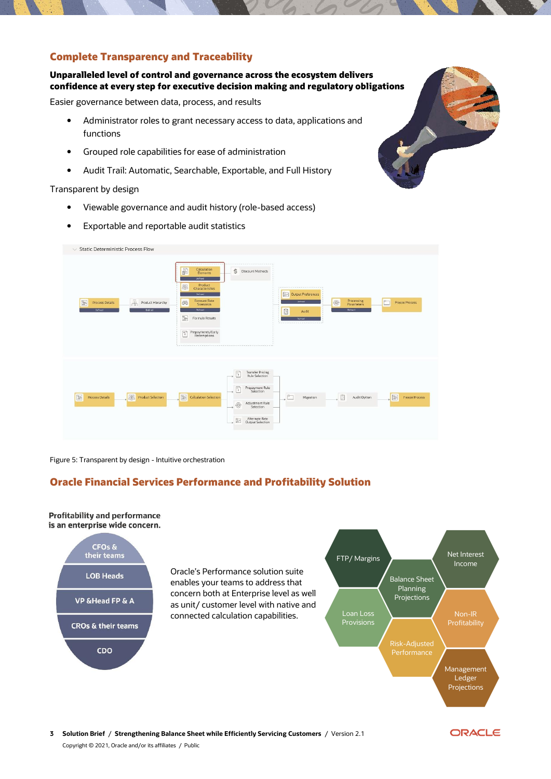# **Complete Transparency and Traceability**

## **Unparalleled level of control and governance across the ecosystem delivers confidence at every step for executive decision making and regulatory obligations**

Easier governance between data, process, and results

- Administrator roles to grant necessary access to data, applications and functions
- Grouped role capabilities for ease of administration
- Audit Trail: Automatic, Searchable, Exportable, and Full History

#### Transparent by design

- Viewable governance and audit history (role-based access)
- Exportable and reportable audit statistics



Figure 5: Transparent by design - Intuitive orchestration

# **Oracle Financial Services Performance and Profitability Solution**

#### **Profitability and performance** is an enterprise wide concern.







ORACLE